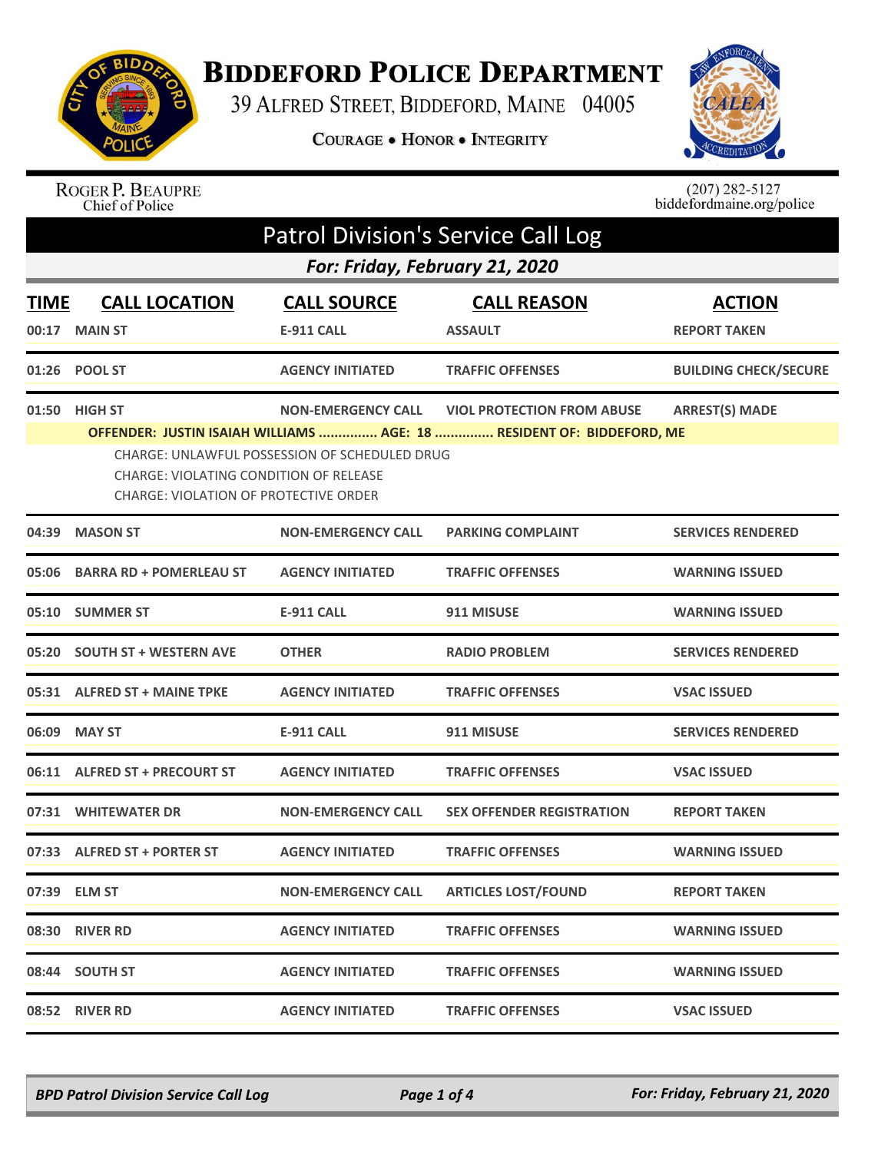

## **BIDDEFORD POLICE DEPARTMENT**

39 ALFRED STREET, BIDDEFORD, MAINE 04005

COURAGE . HONOR . INTEGRITY



## ROGER P. BEAUPRE<br>Chief of Police

 $(207)$  282-5127<br>biddefordmaine.org/police

| <b>Patrol Division's Service Call Log</b> |                                                                                                                                                                                                                                                                                                                              |                                         |                                      |                                      |  |  |
|-------------------------------------------|------------------------------------------------------------------------------------------------------------------------------------------------------------------------------------------------------------------------------------------------------------------------------------------------------------------------------|-----------------------------------------|--------------------------------------|--------------------------------------|--|--|
|                                           | For: Friday, February 21, 2020                                                                                                                                                                                                                                                                                               |                                         |                                      |                                      |  |  |
| <b>TIME</b><br>00:17                      | <b>CALL LOCATION</b><br><b>MAIN ST</b>                                                                                                                                                                                                                                                                                       | <b>CALL SOURCE</b><br><b>E-911 CALL</b> | <b>CALL REASON</b><br><b>ASSAULT</b> | <b>ACTION</b><br><b>REPORT TAKEN</b> |  |  |
|                                           | 01:26 POOL ST                                                                                                                                                                                                                                                                                                                | <b>AGENCY INITIATED</b>                 | <b>TRAFFIC OFFENSES</b>              | <b>BUILDING CHECK/SECURE</b>         |  |  |
|                                           | <b>ARREST(S) MADE</b><br>01:50 HIGH ST<br><b>NON-EMERGENCY CALL</b><br><b>VIOL PROTECTION FROM ABUSE</b><br>OFFENDER: JUSTIN ISAIAH WILLIAMS  AGE: 18  RESIDENT OF: BIDDEFORD, ME<br>CHARGE: UNLAWFUL POSSESSION OF SCHEDULED DRUG<br>CHARGE: VIOLATING CONDITION OF RELEASE<br><b>CHARGE: VIOLATION OF PROTECTIVE ORDER</b> |                                         |                                      |                                      |  |  |
| 04:39                                     | <b>MASON ST</b>                                                                                                                                                                                                                                                                                                              | <b>NON-EMERGENCY CALL</b>               | <b>PARKING COMPLAINT</b>             | <b>SERVICES RENDERED</b>             |  |  |
| 05:06                                     | <b>BARRA RD + POMERLEAU ST</b>                                                                                                                                                                                                                                                                                               | <b>AGENCY INITIATED</b>                 | <b>TRAFFIC OFFENSES</b>              | <b>WARNING ISSUED</b>                |  |  |
|                                           | 05:10 SUMMER ST                                                                                                                                                                                                                                                                                                              | E-911 CALL                              | 911 MISUSE                           | <b>WARNING ISSUED</b>                |  |  |
|                                           | 05:20 SOUTH ST + WESTERN AVE                                                                                                                                                                                                                                                                                                 | <b>OTHER</b>                            | <b>RADIO PROBLEM</b>                 | <b>SERVICES RENDERED</b>             |  |  |
|                                           | 05:31 ALFRED ST + MAINE TPKE                                                                                                                                                                                                                                                                                                 | <b>AGENCY INITIATED</b>                 | <b>TRAFFIC OFFENSES</b>              | <b>VSAC ISSUED</b>                   |  |  |
| 06:09                                     | <b>MAY ST</b>                                                                                                                                                                                                                                                                                                                | <b>E-911 CALL</b>                       | 911 MISUSE                           | <b>SERVICES RENDERED</b>             |  |  |
|                                           | 06:11 ALFRED ST + PRECOURT ST                                                                                                                                                                                                                                                                                                | <b>AGENCY INITIATED</b>                 | <b>TRAFFIC OFFENSES</b>              | <b>VSAC ISSUED</b>                   |  |  |
|                                           | 07:31 WHITEWATER DR                                                                                                                                                                                                                                                                                                          | <b>NON-EMERGENCY CALL</b>               | <b>SEX OFFENDER REGISTRATION</b>     | <b>REPORT TAKEN</b>                  |  |  |
| 07:33                                     | <b>ALFRED ST + PORTER ST</b>                                                                                                                                                                                                                                                                                                 | <b>AGENCY INITIATED</b>                 | <b>TRAFFIC OFFENSES</b>              | <b>WARNING ISSUED</b>                |  |  |
|                                           | 07:39 ELM ST                                                                                                                                                                                                                                                                                                                 | <b>NON-EMERGENCY CALL</b>               | <b>ARTICLES LOST/FOUND</b>           | <b>REPORT TAKEN</b>                  |  |  |
|                                           | 08:30 RIVER RD                                                                                                                                                                                                                                                                                                               | <b>AGENCY INITIATED</b>                 | <b>TRAFFIC OFFENSES</b>              | <b>WARNING ISSUED</b>                |  |  |
|                                           | 08:44 SOUTH ST                                                                                                                                                                                                                                                                                                               | <b>AGENCY INITIATED</b>                 | <b>TRAFFIC OFFENSES</b>              | <b>WARNING ISSUED</b>                |  |  |
|                                           | 08:52 RIVER RD                                                                                                                                                                                                                                                                                                               | <b>AGENCY INITIATED</b>                 | <b>TRAFFIC OFFENSES</b>              | <b>VSAC ISSUED</b>                   |  |  |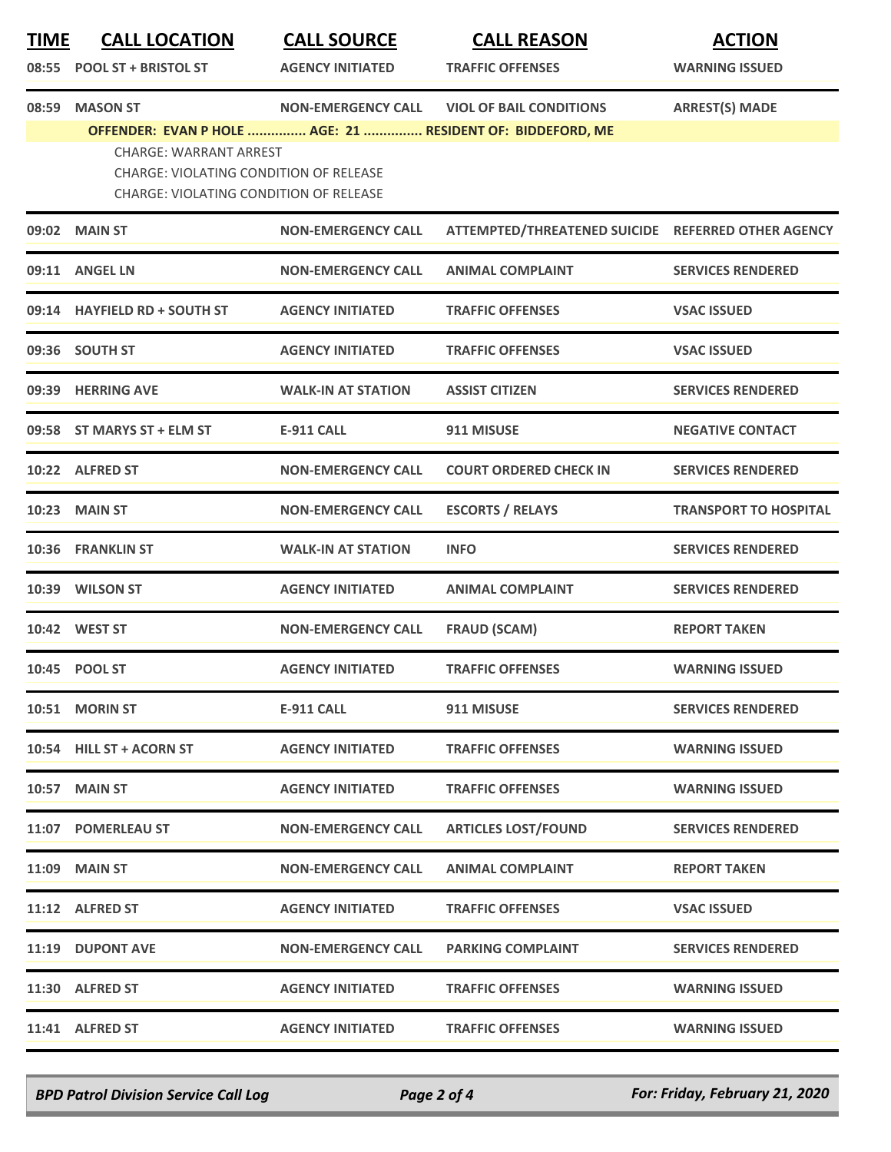| <b>TIME</b> | <b>CALL LOCATION</b>                                                           | <b>CALL SOURCE</b>        | <b>CALL REASON</b>                                 | <b>ACTION</b>                |
|-------------|--------------------------------------------------------------------------------|---------------------------|----------------------------------------------------|------------------------------|
| 08:55       | <b>POOL ST + BRISTOL ST</b>                                                    | <b>AGENCY INITIATED</b>   | <b>TRAFFIC OFFENSES</b>                            | <b>WARNING ISSUED</b>        |
| 08:59       | <b>MASON ST</b>                                                                | <b>NON-EMERGENCY CALL</b> | <b>VIOL OF BAIL CONDITIONS</b>                     | <b>ARREST(S) MADE</b>        |
|             | OFFENDER: EVAN P HOLE  AGE: 21  RESIDENT OF: BIDDEFORD, ME                     |                           |                                                    |                              |
|             | <b>CHARGE: WARRANT ARREST</b><br><b>CHARGE: VIOLATING CONDITION OF RELEASE</b> |                           |                                                    |                              |
|             | <b>CHARGE: VIOLATING CONDITION OF RELEASE</b>                                  |                           |                                                    |                              |
|             | 09:02 MAIN ST                                                                  | <b>NON-EMERGENCY CALL</b> | ATTEMPTED/THREATENED SUICIDE REFERRED OTHER AGENCY |                              |
|             | 09:11 ANGEL LN                                                                 | <b>NON-EMERGENCY CALL</b> | <b>ANIMAL COMPLAINT</b>                            | <b>SERVICES RENDERED</b>     |
|             | 09:14 HAYFIELD RD + SOUTH ST                                                   | <b>AGENCY INITIATED</b>   | <b>TRAFFIC OFFENSES</b>                            | <b>VSAC ISSUED</b>           |
|             | 09:36 SOUTH ST                                                                 | <b>AGENCY INITIATED</b>   | <b>TRAFFIC OFFENSES</b>                            | <b>VSAC ISSUED</b>           |
|             | 09:39 HERRING AVE                                                              | <b>WALK-IN AT STATION</b> | <b>ASSIST CITIZEN</b>                              | <b>SERVICES RENDERED</b>     |
|             | 09:58 ST MARYS ST + ELM ST                                                     | <b>E-911 CALL</b>         | 911 MISUSE                                         | <b>NEGATIVE CONTACT</b>      |
|             | 10:22 ALFRED ST                                                                | <b>NON-EMERGENCY CALL</b> | <b>COURT ORDERED CHECK IN</b>                      | <b>SERVICES RENDERED</b>     |
|             | <b>10:23 MAIN ST</b>                                                           | <b>NON-EMERGENCY CALL</b> | <b>ESCORTS / RELAYS</b>                            | <b>TRANSPORT TO HOSPITAL</b> |
|             | 10:36 FRANKLIN ST                                                              | <b>WALK-IN AT STATION</b> | <b>INFO</b>                                        | <b>SERVICES RENDERED</b>     |
|             | 10:39 WILSON ST                                                                | <b>AGENCY INITIATED</b>   | <b>ANIMAL COMPLAINT</b>                            | <b>SERVICES RENDERED</b>     |
|             | 10:42 WEST ST                                                                  | <b>NON-EMERGENCY CALL</b> | <b>FRAUD (SCAM)</b>                                | <b>REPORT TAKEN</b>          |
|             | 10:45 POOL ST                                                                  | <b>AGENCY INITIATED</b>   | <b>TRAFFIC OFFENSES</b>                            | <b>WARNING ISSUED</b>        |
|             | 10:51 MORIN ST                                                                 | E-911 CALL                | 911 MISUSE                                         | <b>SERVICES RENDERED</b>     |
|             | 10:54 HILL ST + ACORN ST                                                       | <b>AGENCY INITIATED</b>   | <b>TRAFFIC OFFENSES</b>                            | <b>WARNING ISSUED</b>        |
|             | <b>10:57 MAIN ST</b>                                                           | <b>AGENCY INITIATED</b>   | <b>TRAFFIC OFFENSES</b>                            | <b>WARNING ISSUED</b>        |
|             | 11:07 POMERLEAU ST                                                             | <b>NON-EMERGENCY CALL</b> | <b>ARTICLES LOST/FOUND</b>                         | <b>SERVICES RENDERED</b>     |
|             | <b>11:09 MAIN ST</b>                                                           | <b>NON-EMERGENCY CALL</b> | <b>ANIMAL COMPLAINT</b>                            | <b>REPORT TAKEN</b>          |
|             | 11:12 ALFRED ST                                                                | <b>AGENCY INITIATED</b>   | <b>TRAFFIC OFFENSES</b>                            | <b>VSAC ISSUED</b>           |
|             | 11:19 DUPONT AVE                                                               | <b>NON-EMERGENCY CALL</b> | <b>PARKING COMPLAINT</b>                           | <b>SERVICES RENDERED</b>     |
|             | 11:30 ALFRED ST                                                                | <b>AGENCY INITIATED</b>   | <b>TRAFFIC OFFENSES</b>                            | <b>WARNING ISSUED</b>        |
|             | 11:41 ALFRED ST                                                                | <b>AGENCY INITIATED</b>   | <b>TRAFFIC OFFENSES</b>                            | <b>WARNING ISSUED</b>        |

*BPD Patrol Division Service Call Log Page 2 of 4 For: Friday, February 21, 2020*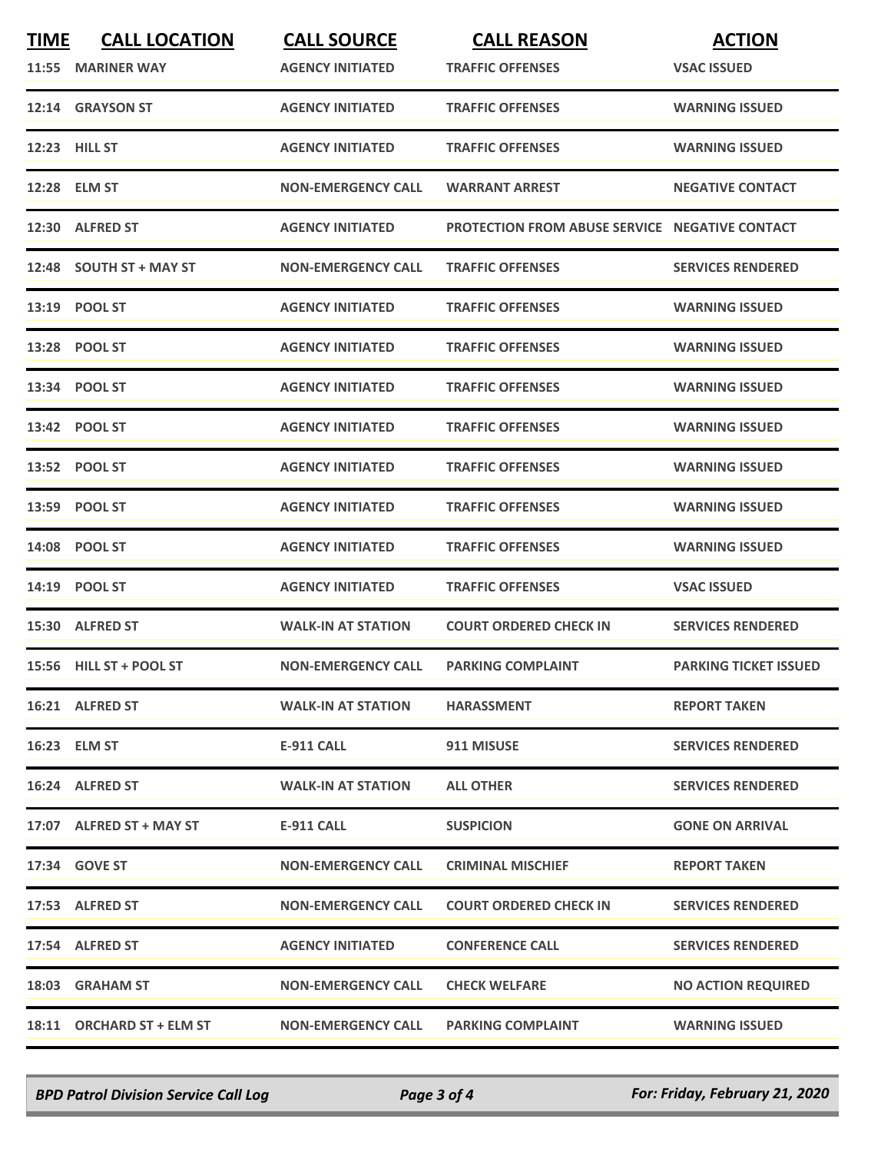| <b>TIME</b> | <b>CALL LOCATION</b><br>11:55 MARINER WAY | <b>CALL SOURCE</b><br><b>AGENCY INITIATED</b> | <b>CALL REASON</b><br><b>TRAFFIC OFFENSES</b>         | <b>ACTION</b><br><b>VSAC ISSUED</b> |
|-------------|-------------------------------------------|-----------------------------------------------|-------------------------------------------------------|-------------------------------------|
|             | 12:14 GRAYSON ST                          | <b>AGENCY INITIATED</b>                       | <b>TRAFFIC OFFENSES</b>                               | <b>WARNING ISSUED</b>               |
|             | <b>12:23 HILL ST</b>                      | <b>AGENCY INITIATED</b>                       | <b>TRAFFIC OFFENSES</b>                               | <b>WARNING ISSUED</b>               |
|             | 12:28 ELM ST                              | <b>NON-EMERGENCY CALL</b>                     | <b>WARRANT ARREST</b>                                 | <b>NEGATIVE CONTACT</b>             |
|             | 12:30 ALFRED ST                           | <b>AGENCY INITIATED</b>                       | <b>PROTECTION FROM ABUSE SERVICE NEGATIVE CONTACT</b> |                                     |
|             | 12:48 SOUTH ST + MAY ST                   | <b>NON-EMERGENCY CALL</b>                     | <b>TRAFFIC OFFENSES</b>                               | <b>SERVICES RENDERED</b>            |
|             | 13:19 POOL ST                             | <b>AGENCY INITIATED</b>                       | <b>TRAFFIC OFFENSES</b>                               | <b>WARNING ISSUED</b>               |
|             | 13:28 POOL ST                             | <b>AGENCY INITIATED</b>                       | <b>TRAFFIC OFFENSES</b>                               | <b>WARNING ISSUED</b>               |
|             | 13:34 POOL ST                             | <b>AGENCY INITIATED</b>                       | <b>TRAFFIC OFFENSES</b>                               | <b>WARNING ISSUED</b>               |
|             | 13:42 POOL ST                             | <b>AGENCY INITIATED</b>                       | <b>TRAFFIC OFFENSES</b>                               | <b>WARNING ISSUED</b>               |
|             | 13:52 POOL ST                             | <b>AGENCY INITIATED</b>                       | <b>TRAFFIC OFFENSES</b>                               | <b>WARNING ISSUED</b>               |
|             | 13:59 POOL ST                             | <b>AGENCY INITIATED</b>                       | <b>TRAFFIC OFFENSES</b>                               | <b>WARNING ISSUED</b>               |
|             | 14:08 POOL ST                             | <b>AGENCY INITIATED</b>                       | <b>TRAFFIC OFFENSES</b>                               | <b>WARNING ISSUED</b>               |
|             | 14:19 POOL ST                             | <b>AGENCY INITIATED</b>                       | <b>TRAFFIC OFFENSES</b>                               | <b>VSAC ISSUED</b>                  |
|             | 15:30 ALFRED ST                           | <b>WALK-IN AT STATION</b>                     | <b>COURT ORDERED CHECK IN</b>                         | <b>SERVICES RENDERED</b>            |
|             | 15:56 HILL ST + POOL ST                   | <b>NON-EMERGENCY CALL</b>                     | <b>PARKING COMPLAINT</b>                              | <b>PARKING TICKET ISSUED</b>        |
|             | 16:21 ALFRED ST                           | <b>WALK-IN AT STATION</b>                     | <b>HARASSMENT</b>                                     | <b>REPORT TAKEN</b>                 |
|             | 16:23 ELM ST                              | E-911 CALL                                    | 911 MISUSE                                            | <b>SERVICES RENDERED</b>            |
|             | 16:24 ALFRED ST                           | <b>WALK-IN AT STATION</b>                     | <b>ALL OTHER</b>                                      | <b>SERVICES RENDERED</b>            |
|             | 17:07 ALFRED ST + MAY ST                  | E-911 CALL                                    | <b>SUSPICION</b>                                      | <b>GONE ON ARRIVAL</b>              |
|             | 17:34 GOVE ST                             | <b>NON-EMERGENCY CALL</b>                     | <b>CRIMINAL MISCHIEF</b>                              | <b>REPORT TAKEN</b>                 |
|             | 17:53 ALFRED ST                           | <b>NON-EMERGENCY CALL</b>                     | <b>COURT ORDERED CHECK IN</b>                         | <b>SERVICES RENDERED</b>            |
|             | 17:54 ALFRED ST                           | <b>AGENCY INITIATED</b>                       | <b>CONFERENCE CALL</b>                                | <b>SERVICES RENDERED</b>            |
|             | 18:03 GRAHAM ST                           | <b>NON-EMERGENCY CALL</b>                     | <b>CHECK WELFARE</b>                                  | <b>NO ACTION REQUIRED</b>           |
|             | 18:11 ORCHARD ST + ELM ST                 | <b>NON-EMERGENCY CALL</b>                     | <b>PARKING COMPLAINT</b>                              | <b>WARNING ISSUED</b>               |

*BPD Patrol Division Service Call Log Page 3 of 4 For: Friday, February 21, 2020*